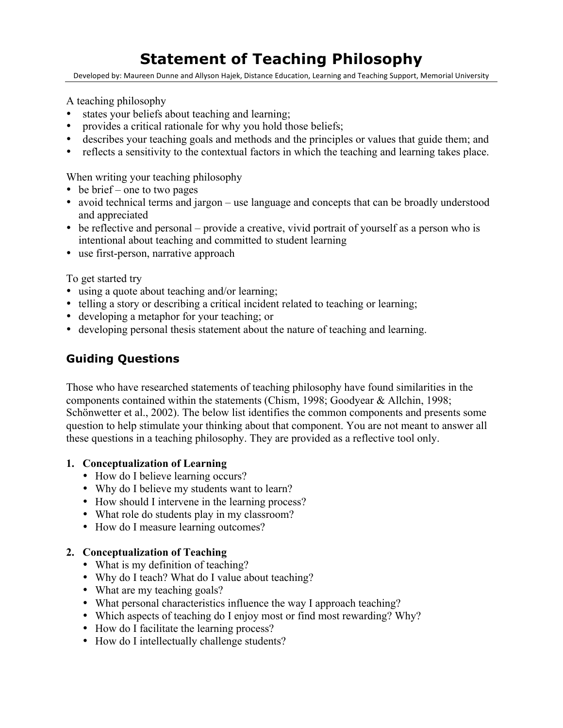# **Statement of Teaching Philosophy**

Developed by: Maureen Dunne and Allyson Hajek, Distance Education, Learning and Teaching Support, Memorial University

A teaching philosophy

- states your beliefs about teaching and learning;
- provides a critical rationale for why you hold those beliefs;
- describes your teaching goals and methods and the principles or values that guide them; and
- reflects a sensitivity to the contextual factors in which the teaching and learning takes place.

When writing your teaching philosophy

- be brief one to two pages
- avoid technical terms and jargon use language and concepts that can be broadly understood and appreciated
- be reflective and personal provide a creative, vivid portrait of yourself as a person who is intentional about teaching and committed to student learning
- use first-person, narrative approach

To get started try

- using a quote about teaching and/or learning;
- telling a story or describing a critical incident related to teaching or learning;
- developing a metaphor for your teaching; or
- developing personal thesis statement about the nature of teaching and learning.

# **Guiding Questions**

Those who have researched statements of teaching philosophy have found similarities in the components contained within the statements (Chism, 1998; Goodyear & Allchin, 1998; Schönwetter et al., 2002). The below list identifies the common components and presents some question to help stimulate your thinking about that component. You are not meant to answer all these questions in a teaching philosophy. They are provided as a reflective tool only.

#### **1. Conceptualization of Learning**

- How do I believe learning occurs?
- Why do I believe my students want to learn?
- How should I intervene in the learning process?
- What role do students play in my classroom?
- How do I measure learning outcomes?

## **2. Conceptualization of Teaching**

- What is my definition of teaching?
- Why do I teach? What do I value about teaching?
- What are my teaching goals?
- What personal characteristics influence the way I approach teaching?
- Which aspects of teaching do I enjoy most or find most rewarding? Why?
- How do I facilitate the learning process?
- How do I intellectually challenge students?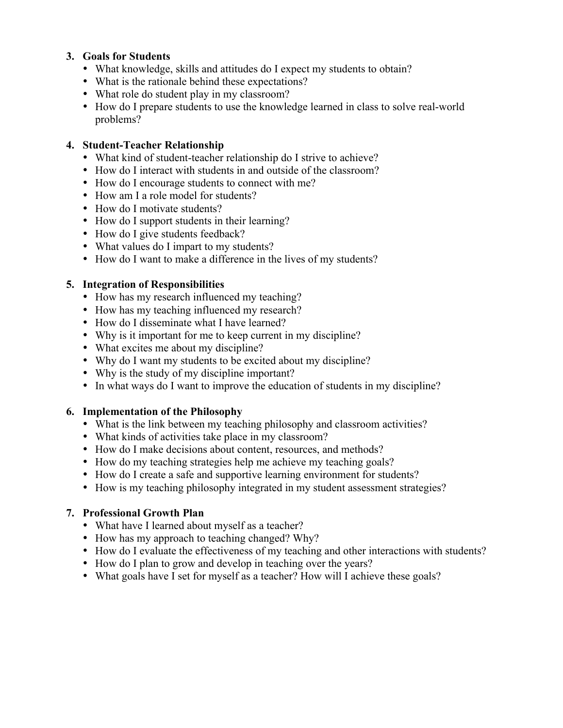#### **3. Goals for Students**

- What knowledge, skills and attitudes do I expect my students to obtain?
- What is the rationale behind these expectations?
- What role do student play in my classroom?
- How do I prepare students to use the knowledge learned in class to solve real-world problems?

#### **4. Student-Teacher Relationship**

- What kind of student-teacher relationship do I strive to achieve?
- How do I interact with students in and outside of the classroom?
- How do I encourage students to connect with me?
- How am I a role model for students?
- How do I motivate students?
- How do I support students in their learning?
- How do I give students feedback?
- What values do I impart to my students?
- How do I want to make a difference in the lives of my students?

#### **5. Integration of Responsibilities**

- How has my research influenced my teaching?
- How has my teaching influenced my research?
- How do I disseminate what I have learned?
- Why is it important for me to keep current in my discipline?
- What excites me about my discipline?
- Why do I want my students to be excited about my discipline?
- Why is the study of my discipline important?
- In what ways do I want to improve the education of students in my discipline?

#### **6. Implementation of the Philosophy**

- What is the link between my teaching philosophy and classroom activities?
- What kinds of activities take place in my classroom?
- How do I make decisions about content, resources, and methods?
- How do my teaching strategies help me achieve my teaching goals?
- How do I create a safe and supportive learning environment for students?
- How is my teaching philosophy integrated in my student assessment strategies?

## **7. Professional Growth Plan**

- What have I learned about myself as a teacher?
- How has my approach to teaching changed? Why?
- How do I evaluate the effectiveness of my teaching and other interactions with students?
- How do I plan to grow and develop in teaching over the years?
- What goals have I set for myself as a teacher? How will I achieve these goals?